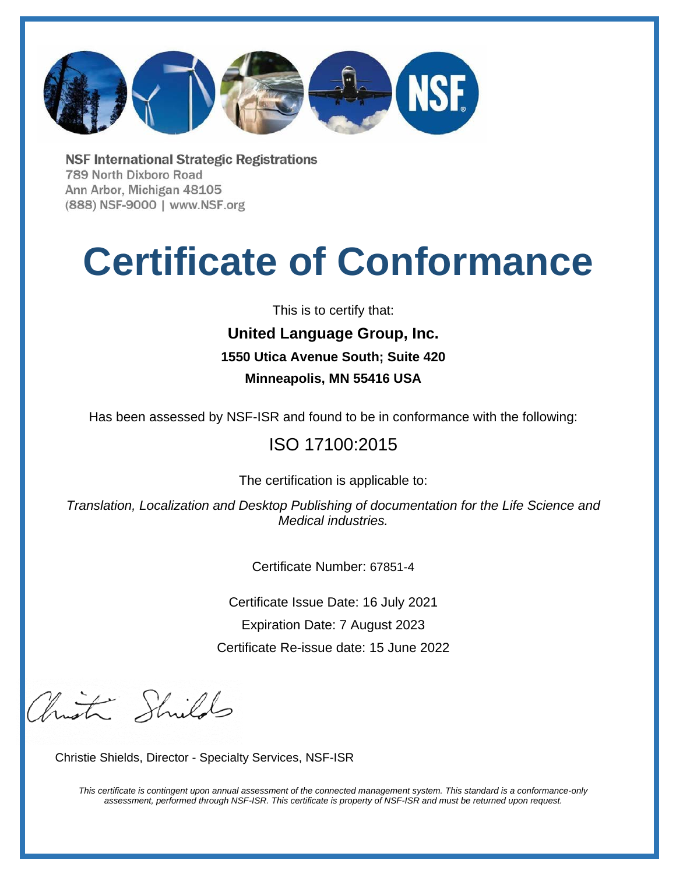

**NSF International Strategic Registrations** 789 North Dixboro Road Ann Arbor, Michigan 48105 (888) NSF-9000 | www.NSF.org

# **Certificate of Conformance**

This is to certify that:

## **United Language Group, Inc. 1550 Utica Avenue South; Suite 420 Minneapolis, MN 55416 USA**

Has been assessed by NSF-ISR and found to be in conformance with the following:

### ISO 17100:2015

The certification is applicable to:

*Translation, Localization and Desktop Publishing of documentation for the Life Science and Medical industries.* 

Certificate Number: 67851-4

Certificate Issue Date: 16 July 2021 Expiration Date: 7 August 2023 Certificate Re-issue date: 15 June 2022

brist Shilds

Christie Shields, Director - Specialty Services, NSF-ISR

*This certificate is contingent upon annual assessment of the connected management system. This standard is a conformance-only assessment, performed through NSF-ISR. This certificate is property of NSF-ISR and must be returned upon request.*